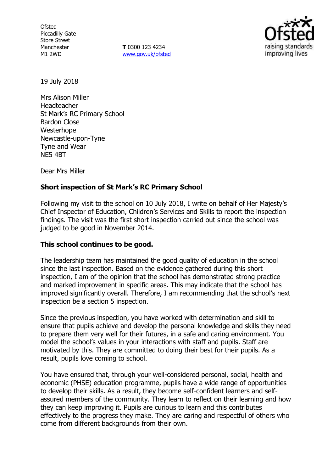**Ofsted** Piccadilly Gate Store Street Manchester M1 2WD

**T** 0300 123 4234 www.gov.uk/ofsted



19 July 2018

Mrs Alison Miller Headteacher St Mark's RC Primary School Bardon Close Westerhope Newcastle-upon-Tyne Tyne and Wear NE5 4BT

Dear Mrs Miller

# **Short inspection of St Mark's RC Primary School**

Following my visit to the school on 10 July 2018, I write on behalf of Her Majesty's Chief Inspector of Education, Children's Services and Skills to report the inspection findings. The visit was the first short inspection carried out since the school was judged to be good in November 2014.

## **This school continues to be good.**

The leadership team has maintained the good quality of education in the school since the last inspection. Based on the evidence gathered during this short inspection, I am of the opinion that the school has demonstrated strong practice and marked improvement in specific areas. This may indicate that the school has improved significantly overall. Therefore, I am recommending that the school's next inspection be a section 5 inspection.

Since the previous inspection, you have worked with determination and skill to ensure that pupils achieve and develop the personal knowledge and skills they need to prepare them very well for their futures, in a safe and caring environment. You model the school's values in your interactions with staff and pupils. Staff are motivated by this. They are committed to doing their best for their pupils. As a result, pupils love coming to school.

You have ensured that, through your well-considered personal, social, health and economic (PHSE) education programme, pupils have a wide range of opportunities to develop their skills. As a result, they become self-confident learners and selfassured members of the community. They learn to reflect on their learning and how they can keep improving it. Pupils are curious to learn and this contributes effectively to the progress they make. They are caring and respectful of others who come from different backgrounds from their own.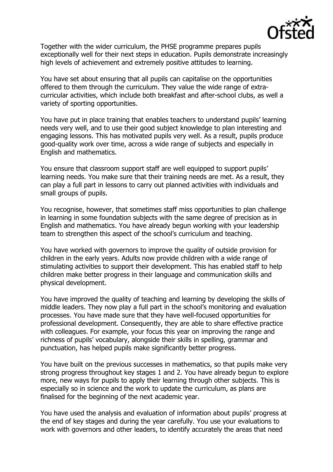

Together with the wider curriculum, the PHSE programme prepares pupils exceptionally well for their next steps in education. Pupils demonstrate increasingly high levels of achievement and extremely positive attitudes to learning.

You have set about ensuring that all pupils can capitalise on the opportunities offered to them through the curriculum. They value the wide range of extracurricular activities, which include both breakfast and after-school clubs, as well a variety of sporting opportunities.

You have put in place training that enables teachers to understand pupils' learning needs very well, and to use their good subject knowledge to plan interesting and engaging lessons. This has motivated pupils very well. As a result, pupils produce good-quality work over time, across a wide range of subjects and especially in English and mathematics.

You ensure that classroom support staff are well equipped to support pupils' learning needs. You make sure that their training needs are met. As a result, they can play a full part in lessons to carry out planned activities with individuals and small groups of pupils.

You recognise, however, that sometimes staff miss opportunities to plan challenge in learning in some foundation subjects with the same degree of precision as in English and mathematics. You have already begun working with your leadership team to strengthen this aspect of the school's curriculum and teaching.

You have worked with governors to improve the quality of outside provision for children in the early years. Adults now provide children with a wide range of stimulating activities to support their development. This has enabled staff to help children make better progress in their language and communication skills and physical development.

You have improved the quality of teaching and learning by developing the skills of middle leaders. They now play a full part in the school's monitoring and evaluation processes. You have made sure that they have well-focused opportunities for professional development. Consequently, they are able to share effective practice with colleagues. For example, your focus this year on improving the range and richness of pupils' vocabulary, alongside their skills in spelling, grammar and punctuation, has helped pupils make significantly better progress.

You have built on the previous successes in mathematics, so that pupils make very strong progress throughout key stages 1 and 2. You have already begun to explore more, new ways for pupils to apply their learning through other subjects. This is especially so in science and the work to update the curriculum, as plans are finalised for the beginning of the next academic year.

You have used the analysis and evaluation of information about pupils' progress at the end of key stages and during the year carefully. You use your evaluations to work with governors and other leaders, to identify accurately the areas that need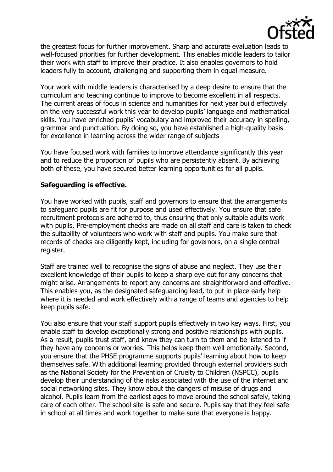

the greatest focus for further improvement. Sharp and accurate evaluation leads to well-focused priorities for further development. This enables middle leaders to tailor their work with staff to improve their practice. It also enables governors to hold leaders fully to account, challenging and supporting them in equal measure.

Your work with middle leaders is characterised by a deep desire to ensure that the curriculum and teaching continue to improve to become excellent in all respects. The current areas of focus in science and humanities for next year build effectively on the very successful work this year to develop pupils' language and mathematical skills. You have enriched pupils' vocabulary and improved their accuracy in spelling, grammar and punctuation. By doing so, you have established a high-quality basis for excellence in learning across the wider range of subjects

You have focused work with families to improve attendance significantly this year and to reduce the proportion of pupils who are persistently absent. By achieving both of these, you have secured better learning opportunities for all pupils.

#### **Safeguarding is effective.**

You have worked with pupils, staff and governors to ensure that the arrangements to safeguard pupils are fit for purpose and used effectively. You ensure that safe recruitment protocols are adhered to, thus ensuring that only suitable adults work with pupils. Pre-employment checks are made on all staff and care is taken to check the suitability of volunteers who work with staff and pupils. You make sure that records of checks are diligently kept, including for governors, on a single central register.

Staff are trained well to recognise the signs of abuse and neglect. They use their excellent knowledge of their pupils to keep a sharp eye out for any concerns that might arise. Arrangements to report any concerns are straightforward and effective. This enables you, as the designated safeguarding lead, to put in place early help where it is needed and work effectively with a range of teams and agencies to help keep pupils safe.

You also ensure that your staff support pupils effectively in two key ways. First, you enable staff to develop exceptionally strong and positive relationships with pupils. As a result, pupils trust staff, and know they can turn to them and be listened to if they have any concerns or worries. This helps keep them well emotionally. Second, you ensure that the PHSE programme supports pupils' learning about how to keep themselves safe. With additional learning provided through external providers such as the National Society for the Prevention of Cruelty to Children (NSPCC), pupils develop their understanding of the risks associated with the use of the internet and social networking sites. They know about the dangers of misuse of drugs and alcohol. Pupils learn from the earliest ages to move around the school safely, taking care of each other. The school site is safe and secure. Pupils say that they feel safe in school at all times and work together to make sure that everyone is happy.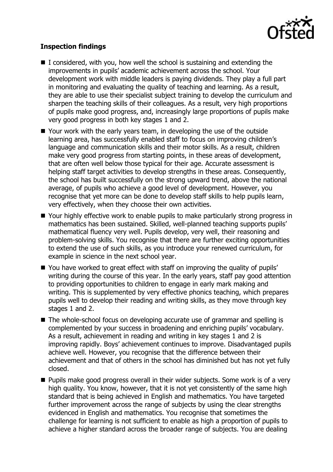

# **Inspection findings**

- $\blacksquare$  I considered, with you, how well the school is sustaining and extending the improvements in pupils' academic achievement across the school. Your development work with middle leaders is paying dividends. They play a full part in monitoring and evaluating the quality of teaching and learning. As a result, they are able to use their specialist subject training to develop the curriculum and sharpen the teaching skills of their colleagues. As a result, very high proportions of pupils make good progress, and, increasingly large proportions of pupils make very good progress in both key stages 1 and 2.
- Your work with the early years team, in developing the use of the outside learning area, has successfully enabled staff to focus on improving children's language and communication skills and their motor skills. As a result, children make very good progress from starting points, in these areas of development, that are often well below those typical for their age. Accurate assessment is helping staff target activities to develop strengths in these areas. Consequently, the school has built successfully on the strong upward trend, above the national average, of pupils who achieve a good level of development. However, you recognise that yet more can be done to develop staff skills to help pupils learn, very effectively, when they choose their own activities.
- Your highly effective work to enable pupils to make particularly strong progress in mathematics has been sustained. Skilled, well-planned teaching supports pupils' mathematical fluency very well. Pupils develop, very well, their reasoning and problem-solving skills. You recognise that there are further exciting opportunities to extend the use of such skills, as you introduce your renewed curriculum, for example in science in the next school year.
- You have worked to great effect with staff on improving the quality of pupils' writing during the course of this year. In the early years, staff pay good attention to providing opportunities to children to engage in early mark making and writing. This is supplemented by very effective phonics teaching, which prepares pupils well to develop their reading and writing skills, as they move through key stages 1 and 2.
- The whole-school focus on developing accurate use of grammar and spelling is complemented by your success in broadening and enriching pupils' vocabulary. As a result, achievement in reading and writing in key stages 1 and 2 is improving rapidly. Boys' achievement continues to improve. Disadvantaged pupils achieve well. However, you recognise that the difference between their achievement and that of others in the school has diminished but has not yet fully closed.
- **Pupils make good progress overall in their wider subjects. Some work is of a very** high quality. You know, however, that it is not yet consistently of the same high standard that is being achieved in English and mathematics. You have targeted further improvement across the range of subjects by using the clear strengths evidenced in English and mathematics. You recognise that sometimes the challenge for learning is not sufficient to enable as high a proportion of pupils to achieve a higher standard across the broader range of subjects. You are dealing